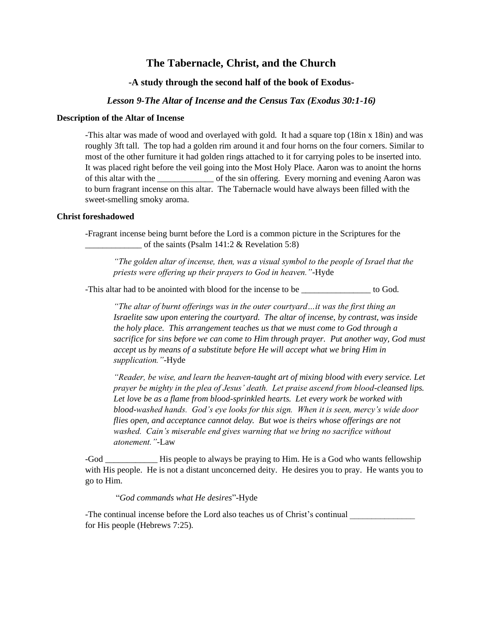# **The Tabernacle, Christ, and the Church**

# **-A study through the second half of the book of Exodus-**

## *Lesson 9-The Altar of Incense and the Census Tax (Exodus 30:1-16)*

#### **Description of the Altar of Incense**

-This altar was made of wood and overlayed with gold. It had a square top (18in x 18in) and was roughly 3ft tall. The top had a golden rim around it and four horns on the four corners. Similar to most of the other furniture it had golden rings attached to it for carrying poles to be inserted into. It was placed right before the veil going into the Most Holy Place. Aaron was to anoint the horns of this altar with the \_\_\_\_\_\_\_\_\_\_\_\_\_ of the sin offering. Every morning and evening Aaron was to burn fragrant incense on this altar. The Tabernacle would have always been filled with the sweet-smelling smoky aroma.

## **Christ foreshadowed**

-Fragrant incense being burnt before the Lord is a common picture in the Scriptures for the of the saints (Psalm 141:2  $&$  Revelation 5:8)

*"The golden altar of incense, then, was a visual symbol to the people of Israel that the priests were offering up their prayers to God in heaven."-*Hyde

-This altar had to be anointed with blood for the incense to be \_\_\_\_\_\_\_\_\_\_\_\_\_\_\_\_ to God.

*"The altar of burnt offerings was in the outer courtyard…it was the first thing an Israelite saw upon entering the courtyard. The altar of incense, by contrast, was inside the holy place. This arrangement teaches us that we must come to God through a sacrifice for sins before we can come to Him through prayer. Put another way, God must accept us by means of a substitute before He will accept what we bring Him in supplication."*-Hyde

*"Reader, be wise, and learn the heaven-taught art of mixing blood with every service. Let prayer be mighty in the plea of Jesus' death. Let praise ascend from blood-cleansed lips. Let love be as a flame from blood-sprinkled hearts. Let every work be worked with blood-washed hands. God's eye looks for this sign. When it is seen, mercy's wide door flies open, and acceptance cannot delay. But woe is theirs whose offerings are not washed. Cain's miserable end gives warning that we bring no sacrifice without atonement."-*Law

-God \_\_\_\_\_\_\_\_\_\_\_\_ His people to always be praying to Him. He is a God who wants fellowship with His people. He is not a distant unconcerned deity. He desires you to pray. He wants you to go to Him.

"*God commands what He desires*"-Hyde

-The continual incense before the Lord also teaches us of Christ's continual for His people (Hebrews 7:25).